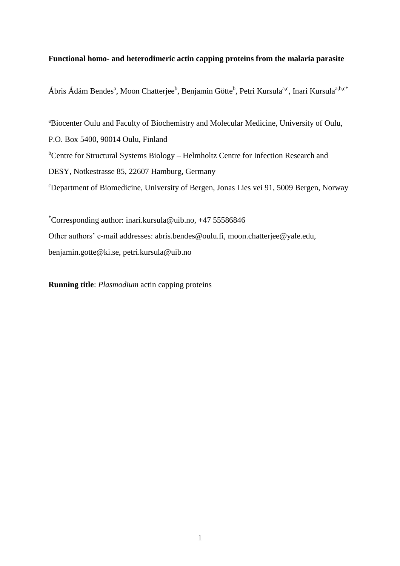# **Functional homo- and heterodimeric actin capping proteins from the malaria parasite**

Ábris Ádám Bendesª, Moon Chatterjee<sup>b</sup>, Benjamin Götte<sup>b</sup>, Petri Kursula<sup>a,c</sup>, Inari Kursula<sup>a,b,c\*</sup>

<sup>a</sup>Biocenter Oulu and Faculty of Biochemistry and Molecular Medicine, University of Oulu, P.O. Box 5400, 90014 Oulu, Finland <sup>b</sup>Centre for Structural Systems Biology – Helmholtz Centre for Infection Research and DESY, Notkestrasse 85, 22607 Hamburg, Germany <sup>c</sup>Department of Biomedicine, University of Bergen, Jonas Lies vei 91, 5009 Bergen, Norway

\*Corresponding author: inari.kursula@uib.no, +47 55586846 Other authors' e-mail addresses: abris.bendes@oulu.fi, moon.chatterjee@yale.edu, benjamin.gotte@ki.se, petri.kursula@uib.no

**Running title**: *Plasmodium* actin capping proteins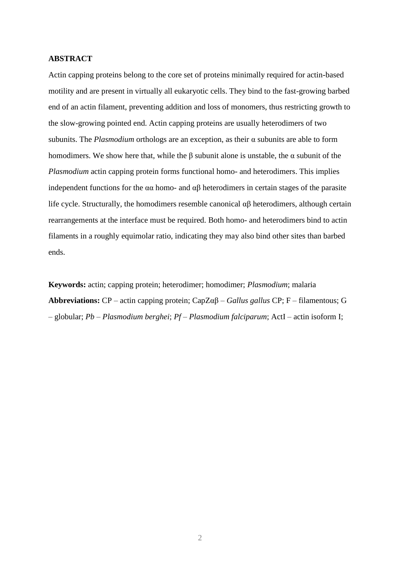## **ABSTRACT**

Actin capping proteins belong to the core set of proteins minimally required for actin-based motility and are present in virtually all eukaryotic cells. They bind to the fast-growing barbed end of an actin filament, preventing addition and loss of monomers, thus restricting growth to the slow-growing pointed end. Actin capping proteins are usually heterodimers of two subunits. The *Plasmodium* orthologs are an exception, as their α subunits are able to form homodimers. We show here that, while the  $\beta$  subunit alone is unstable, the  $\alpha$  subunit of the *Plasmodium* actin capping protein forms functional homo- and heterodimers. This implies independent functions for the  $\alpha\alpha$  homo- and  $\alpha\beta$  heterodimers in certain stages of the parasite life cycle. Structurally, the homodimers resemble canonical  $\alpha\beta$  heterodimers, although certain rearrangements at the interface must be required. Both homo- and heterodimers bind to actin filaments in a roughly equimolar ratio, indicating they may also bind other sites than barbed ends.

**Keywords:** actin; capping protein; heterodimer; homodimer; *Plasmodium*; malaria **Abbreviations:** CP – actin capping protein; CapZαβ – *Gallus gallus* CP; F – filamentous; G – globular; *Pb* – *Plasmodium berghei*; *Pf – Plasmodium falciparum*; ActI – actin isoform I;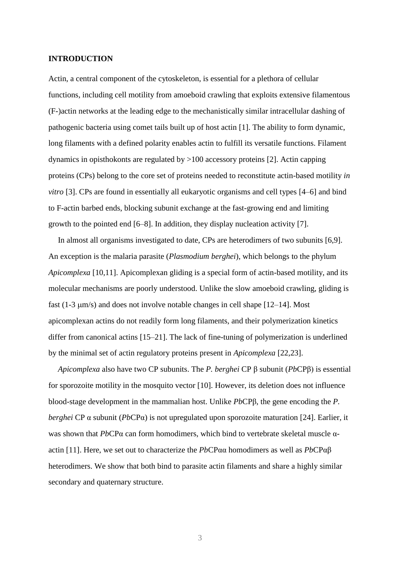#### **INTRODUCTION**

Actin, a central component of the cytoskeleton, is essential for a plethora of cellular functions, including cell motility from amoeboid crawling that exploits extensive filamentous (F-)actin networks at the leading edge to the mechanistically similar intracellular dashing of pathogenic bacteria using comet tails built up of host actin [1]. The ability to form dynamic, long filaments with a defined polarity enables actin to fulfill its versatile functions. Filament dynamics in opisthokonts are regulated by >100 accessory proteins [2]. Actin capping proteins (CPs) belong to the core set of proteins needed to reconstitute actin-based motility *in vitro* [3]. CPs are found in essentially all eukaryotic organisms and cell types [4–6] and bind to F-actin barbed ends, blocking subunit exchange at the fast-growing end and limiting growth to the pointed end [6–8]. In addition, they display nucleation activity [7].

In almost all organisms investigated to date, CPs are heterodimers of two subunits [6,9]. An exception is the malaria parasite (*Plasmodium berghei*), which belongs to the phylum *Apicomplexa* [10,11]. Apicomplexan gliding is a special form of actin-based motility, and its molecular mechanisms are poorly understood. Unlike the slow amoeboid crawling, gliding is fast  $(1-3 \mu m/s)$  and does not involve notable changes in cell shape  $[12-14]$ . Most apicomplexan actins do not readily form long filaments, and their polymerization kinetics differ from canonical actins [15–21]. The lack of fine-tuning of polymerization is underlined by the minimal set of actin regulatory proteins present in *Apicomplexa* [22,23].

*Apicomplexa* also have two CP subunits. The *P. berghei* CP β subunit (*Pb*CPβ is essential for sporozoite motility in the mosquito vector [10]. However, its deletion does not influence blood-stage development in the mammalian host. Unlike *Pb*CPβ, the gene encoding the *P. berghei* CP α subunit (*Pb*CPα) is not upregulated upon sporozoite maturation [24]. Earlier, it was shown that *Pb*CPα can form homodimers, which bind to vertebrate skeletal muscle αactin [11]. Here, we set out to characterize the *Pb*CPαα homodimers as well as *Pb*CPαβ heterodimers. We show that both bind to parasite actin filaments and share a highly similar secondary and quaternary structure.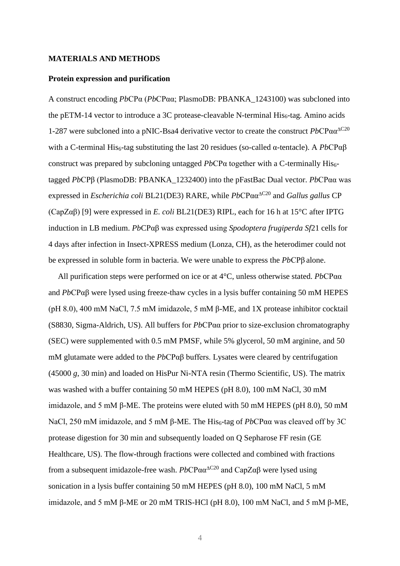#### **MATERIALS AND METHODS**

#### **Protein expression and purification**

A construct encoding *Pb*CPα (*Pb*CPαα; PlasmoDB: PBANKA\_1243100) was subcloned into the pETM-14 vector to introduce a 3C protease-cleavable N-terminal  $His<sub>6</sub>$ -tag. Amino acids 1-287 were subcloned into a pNIC-Bsa4 derivative vector to create the construct  $PbCP\alpha\alpha^{\Delta C20}$ with a C-terminal His<sub>6</sub>-tag substituting the last 20 residues (so-called α-tentacle). A PbCPαβ construct was prepared by subcloning untagged PbCPα together with a C-terminally His<sub>6</sub>tagged *Pb*CPβ (PlasmoDB: PBANKA\_1232400) into the pFastBac Dual vector. *Pb*CPαα was expressed in *Escherichia coli* BL21(DE3) RARE, while  $PbCPa\alpha^{\Delta C20}$  and *Gallus gallus* CP (CapZαβ) [9] were expressed in *E. coli* BL21(DE3) RIPL, each for 16 h at 15°C after IPTG induction in LB medium. *Pb*CPαβ was expressed using *Spodoptera frugiperda Sf*21 cells for 4 days after infection in Insect-XPRESS medium (Lonza, CH), as the heterodimer could not be expressed in soluble form in bacteria. We were unable to express the *Pb*CPβ alone.

All purification steps were performed on ice or at 4°C, unless otherwise stated. *Pb*CPαα and *Pb*CPαβ were lysed using freeze-thaw cycles in a lysis buffer containing 50 mM HEPES (pH 8.0), 400 mM NaCl, 7.5 mM imidazole, 5 mM β-ME, and 1X protease inhibitor cocktail (S8830, Sigma-Aldrich, US). All buffers for *Pb*CPαα prior to size-exclusion chromatography (SEC) were supplemented with 0.5 mM PMSF, while 5% glycerol, 50 mM arginine, and 50 mM glutamate were added to the *Pb*CPαβ buffers. Lysates were cleared by centrifugation (45000 *g*, 30 min) and loaded on HisPur Ni-NTA resin (Thermo Scientific, US). The matrix was washed with a buffer containing 50 mM HEPES (pH 8.0), 100 mM NaCl, 30 mM imidazole, and 5 mM β-ME. The proteins were eluted with 50 mM HEPES (pH 8.0), 50 mM NaCl, 250 mM imidazole, and 5 mM β-ME. The His6-tag of *Pb*CPαα was cleaved off by 3C protease digestion for 30 min and subsequently loaded on Q Sepharose FF resin (GE Healthcare, US). The flow-through fractions were collected and combined with fractions from a subsequent imidazole-free wash.  $PbCPαα<sup>ΔC20</sup>$  and  $CapZαβ$  were lysed using sonication in a lysis buffer containing 50 mM HEPES (pH 8.0), 100 mM NaCl, 5 mM imidazole, and 5 mM β-ME or 20 mM TRIS-HCl (pH 8.0), 100 mM NaCl, and 5 mM β-ME,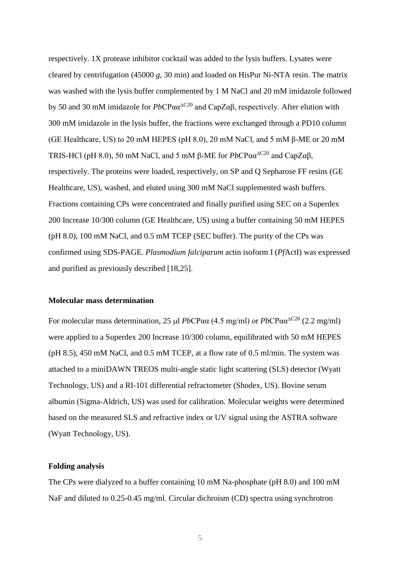respectively. 1X protease inhibitor cocktail was added to the lysis buffers. Lysates were cleared by centrifugation (45000 *g*, 30 min) and loaded on HisPur Ni-NTA resin. The matrix was washed with the lysis buffer complemented by 1 M NaCl and 20 mM imidazole followed by 50 and 30 mM imidazole for  $PbCPαα<sup>ΔC20</sup>$  and CapZαβ, respectively. After elution with 300 mM imidazole in the lysis buffer, the fractions were exchanged through a PD10 column (GE Healthcare, US) to 20 mM HEPES (pH 8.0), 20 mM NaCl, and 5 mM β-ME or 20 mM TRIS-HCl (pH 8.0), 50 mM NaCl, and 5 mM  $\beta$ -ME for  $PbCP\alpha\alpha^{\Delta C20}$  and CapZ $\alpha\beta$ , respectively. The proteins were loaded, respectively, on SP and Q Sepharose FF resins (GE Healthcare, US), washed, and eluted using 300 mM NaCl supplemented wash buffers. Fractions containing CPs were concentrated and finally purified using SEC on a Superdex 200 Increase 10/300 column (GE Healthcare, US) using a buffer containing 50 mM HEPES (pH 8.0), 100 mM NaCl, and 0.5 mM TCEP (SEC buffer). The purity of the CPs was confirmed using SDS-PAGE. *Plasmodium falciparum* actin isoform I (*Pf*ActI) was expressed and purified as previously described [18,25].

### **Molecular mass determination**

For molecular mass determination, 25 µl *Pb*CP $\alpha\alpha$  (4.5 mg/ml) or *Pb*CP $\alpha\alpha^{\Delta C20}$  (2.2 mg/ml) were applied to a Superdex 200 Increase 10/300 column, equilibrated with 50 mM HEPES (pH 8.5), 450 mM NaCl, and 0.5 mM TCEP, at a flow rate of 0.5 ml/min. The system was attached to a miniDAWN TREOS multi-angle static light scattering (SLS) detector (Wyatt Technology, US) and a RI-101 differential refractometer (Shodex, US). Bovine serum albumin (Sigma-Aldrich, US) was used for calibration. Molecular weights were determined based on the measured SLS and refractive index or UV signal using the ASTRA software (Wyatt Technology, US).

#### **Folding analysis**

The CPs were dialyzed to a buffer containing 10 mM Na-phosphate (pH 8.0) and 100 mM NaF and diluted to 0.25-0.45 mg/ml. Circular dichroism (CD) spectra using synchrotron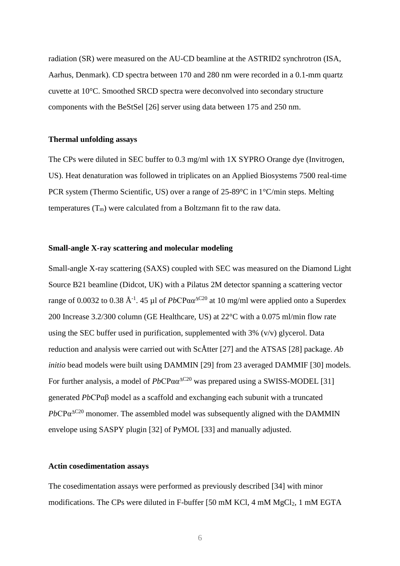radiation (SR) were measured on the AU-CD beamline at the ASTRID2 synchrotron (ISA, Aarhus, Denmark). CD spectra between 170 and 280 nm were recorded in a 0.1-mm quartz cuvette at 10°C. Smoothed SRCD spectra were deconvolved into secondary structure components with the BeStSel [26] server using data between 175 and 250 nm.

## **Thermal unfolding assays**

The CPs were diluted in SEC buffer to 0.3 mg/ml with 1X SYPRO Orange dye (Invitrogen, US). Heat denaturation was followed in triplicates on an Applied Biosystems 7500 real-time PCR system (Thermo Scientific, US) over a range of 25-89°C in 1°C/min steps. Melting temperatures  $(T_m)$  were calculated from a Boltzmann fit to the raw data.

## **Small-angle X-ray scattering and molecular modeling**

Small-angle X-ray scattering (SAXS) coupled with SEC was measured on the Diamond Light Source B21 beamline (Didcot, UK) with a Pilatus 2M detector spanning a scattering vector range of 0.0032 to 0.38 Å<sup>-1</sup>. 45 µl of  $PbCP\alpha\alpha^{\Delta C20}$  at 10 mg/ml were applied onto a Superdex 200 Increase 3.2/300 column (GE Healthcare, US) at 22°C with a 0.075 ml/min flow rate using the SEC buffer used in purification, supplemented with  $3\%$  (v/v) glycerol. Data reduction and analysis were carried out with ScÅtter [27] and the ATSAS [28] package. *Ab initio* bead models were built using DAMMIN [29] from 23 averaged DAMMIF [30] models. For further analysis, a model of  $PbCP\alpha\alpha^{\Delta C20}$  was prepared using a SWISS-MODEL [31] generated *Pb*CPαβ model as a scaffold and exchanging each subunit with a truncated  $PbC\alpha^{\Delta C20}$  monomer. The assembled model was subsequently aligned with the DAMMIN envelope using SASPY plugin [32] of PyMOL [33] and manually adjusted.

### **Actin cosedimentation assays**

The cosedimentation assays were performed as previously described [34] with minor modifications. The CPs were diluted in F-buffer  $[50 \text{ mM KC}$ ,  $4 \text{ mM MgCl}_2$ ,  $1 \text{ mM EGTA}$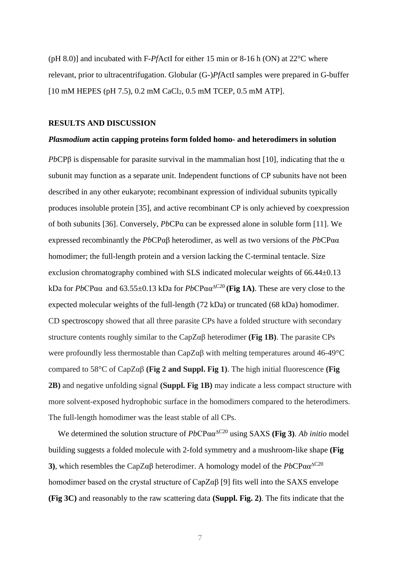(pH 8.0)] and incubated with F-*Pf*ActI for either 15 min or 8-16 h (ON) at 22°C where relevant, prior to ultracentrifugation. Globular (G-)*Pf*ActI samples were prepared in G-buffer [10 mM HEPES (pH 7.5), 0.2 mM CaCl<sub>2</sub>, 0.5 mM TCEP, 0.5 mM ATP].

#### **RESULTS AND DISCUSSION**

#### *Plasmodium* **actin capping proteins form folded homo- and heterodimers in solution**

*PbCP* $\beta$  is dispensable for parasite survival in the mammalian host [10], indicating that the  $\alpha$ subunit may function as a separate unit. Independent functions of CP subunits have not been described in any other eukaryote; recombinant expression of individual subunits typically produces insoluble protein [35], and active recombinant CP is only achieved by coexpression of both subunits [36]. Conversely, *Pb*CPα can be expressed alone in soluble form [11]. We expressed recombinantly the *Pb*CPαβ heterodimer, as well as two versions of the *Pb*CPαα homodimer; the full-length protein and a version lacking the C-terminal tentacle. Size exclusion chromatography combined with SLS indicated molecular weights of 66.44±0.13 kDa for *Pb*CP $\alpha\alpha$  and 63.55±0.13 kDa for *Pb*CP $\alpha\alpha^{\Delta C20}$  (Fig 1A). These are very close to the expected molecular weights of the full-length (72 kDa) or truncated (68 kDa) homodimer. CD spectroscopy showed that all three parasite CPs have a folded structure with secondary structure contents roughly similar to the CapZαβ heterodimer **(Fig 1B)**. The parasite CPs were profoundly less thermostable than CapZαβ with melting temperatures around 46-49°C compared to 58°C of CapZαβ **(Fig 2 and Suppl. Fig 1)**. The high initial fluorescence **(Fig 2B)** and negative unfolding signal **(Suppl. Fig 1B)** may indicate a less compact structure with more solvent-exposed hydrophobic surface in the homodimers compared to the heterodimers. The full-length homodimer was the least stable of all CPs.

We determined the solution structure of  $PbCPa\alpha^{\Delta C20}$  using SAXS (Fig 3). Ab initio model building suggests a folded molecule with 2-fold symmetry and a mushroom-like shape **(Fig 3**), which resembles the CapZα $\beta$  heterodimer. A homology model of the  $PbCPa\alpha^{\Delta C20}$ homodimer based on the crystal structure of CapZαβ [9] fits well into the SAXS envelope **(Fig 3C)** and reasonably to the raw scattering data **(Suppl. Fig. 2)**. The fits indicate that the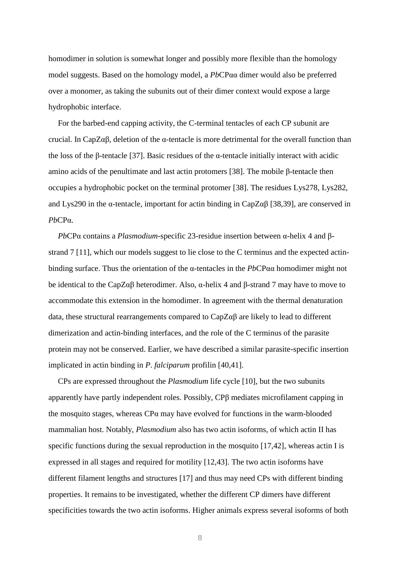homodimer in solution is somewhat longer and possibly more flexible than the homology model suggests. Based on the homology model, a *Pb*CPαα dimer would also be preferred over a monomer, as taking the subunits out of their dimer context would expose a large hydrophobic interface.

For the barbed-end capping activity, the C-terminal tentacles of each CP subunit are crucial. In CapZαβ, deletion of the α-tentacle is more detrimental for the overall function than the loss of the β-tentacle [37]. Basic residues of the α-tentacle initially interact with acidic amino acids of the penultimate and last actin protomers [38]. The mobile β-tentacle then occupies a hydrophobic pocket on the terminal protomer [38]. The residues Lys278, Lys282, and Lys290 in the  $\alpha$ -tentacle, important for actin binding in CapZ $\alpha\beta$  [38,39], are conserved in *Pb*CPα.

*Pb*CPα contains a *Plasmodium*-specific 23-residue insertion between α-helix 4 and βstrand 7 [11], which our models suggest to lie close to the C terminus and the expected actinbinding surface. Thus the orientation of the α-tentacles in the *Pb*CPαα homodimer might not be identical to the CapZαβ heterodimer. Also, α-helix 4 and β-strand 7 may have to move to accommodate this extension in the homodimer. In agreement with the thermal denaturation data, these structural rearrangements compared to  $CapZ\alpha\beta$  are likely to lead to different dimerization and actin-binding interfaces, and the role of the C terminus of the parasite protein may not be conserved. Earlier, we have described a similar parasite-specific insertion implicated in actin binding in *P*. *falciparum* profilin [40,41].

CPs are expressed throughout the *Plasmodium* life cycle [10], but the two subunits apparently have partly independent roles. Possibly, CPβ mediates microfilament capping in the mosquito stages, whereas CPα may have evolved for functions in the warm-blooded mammalian host. Notably, *Plasmodium* also has two actin isoforms, of which actin II has specific functions during the sexual reproduction in the mosquito [17,42], whereas actin I is expressed in all stages and required for motility [12,43]. The two actin isoforms have different filament lengths and structures [17] and thus may need CPs with different binding properties. It remains to be investigated, whether the different CP dimers have different specificities towards the two actin isoforms. Higher animals express several isoforms of both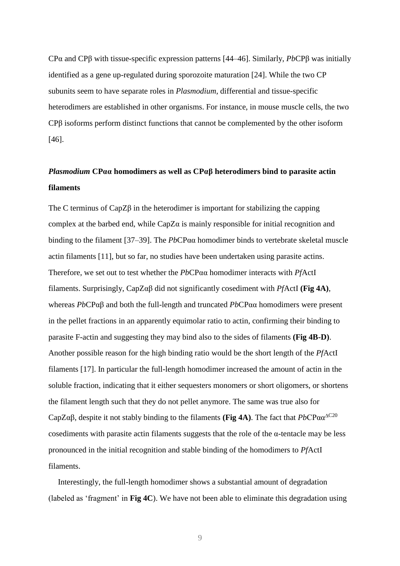CPα and CPβ with tissue-specific expression patterns [44–46]. Similarly, *Pb*CPβ was initially identified as a gene up-regulated during sporozoite maturation [24]. While the two CP subunits seem to have separate roles in *Plasmodium*, differential and tissue-specific heterodimers are established in other organisms. For instance, in mouse muscle cells, the two CPβ isoforms perform distinct functions that cannot be complemented by the other isoform [46].

# *Plasmodium* **CPαα homodimers as well as CPαβ heterodimers bind to parasite actin filaments**

The C terminus of CapZβ in the heterodimer is important for stabilizing the capping complex at the barbed end, while CapZα is mainly responsible for initial recognition and binding to the filament [37–39]. The *Pb*CPαα homodimer binds to vertebrate skeletal muscle actin filaments [11], but so far, no studies have been undertaken using parasite actins. Therefore, we set out to test whether the *Pb*CPαα homodimer interacts with *Pf*ActI filaments. Surprisingly, CapZαβ did not significantly cosediment with *Pf*ActI **(Fig 4A)**, whereas *Pb*CPαβ and both the full-length and truncated *Pb*CPαα homodimers were present in the pellet fractions in an apparently equimolar ratio to actin, confirming their binding to parasite F-actin and suggesting they may bind also to the sides of filaments **(Fig 4B-D)**. Another possible reason for the high binding ratio would be the short length of the *Pf*ActI filaments [17]. In particular the full-length homodimer increased the amount of actin in the soluble fraction, indicating that it either sequesters monomers or short oligomers, or shortens the filament length such that they do not pellet anymore. The same was true also for CapZαβ, despite it not stably binding to the filaments (Fig 4A). The fact that  $PbCP\alpha\alpha^{\Delta C20}$ cosediments with parasite actin filaments suggests that the role of the  $\alpha$ -tentacle may be less pronounced in the initial recognition and stable binding of the homodimers to *Pf*ActI filaments.

Interestingly, the full-length homodimer shows a substantial amount of degradation (labeled as 'fragment' in **Fig 4C**). We have not been able to eliminate this degradation using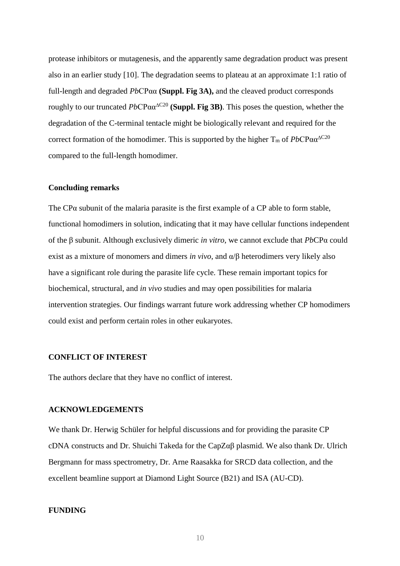protease inhibitors or mutagenesis, and the apparently same degradation product was present also in an earlier study [10]. The degradation seems to plateau at an approximate 1:1 ratio of full-length and degraded *Pb*CPαα **(Suppl. Fig 3A),** and the cleaved product corresponds roughly to our truncated  $PbCP\alpha\alpha^{\Delta C20}$  (**Suppl. Fig 3B**). This poses the question, whether the degradation of the C-terminal tentacle might be biologically relevant and required for the correct formation of the homodimer. This is supported by the higher  $T_m$  of  $PbCP\alpha\alpha^{\Delta C20}$ compared to the full-length homodimer.

## **Concluding remarks**

The CPα subunit of the malaria parasite is the first example of a CP able to form stable, functional homodimers in solution, indicating that it may have cellular functions independent of the β subunit. Although exclusively dimeric *in vitro*, we cannot exclude that *Pb*CPα could exist as a mixture of monomers and dimers *in vivo*, and α/β heterodimers very likely also have a significant role during the parasite life cycle. These remain important topics for biochemical, structural, and *in vivo* studies and may open possibilities for malaria intervention strategies. Our findings warrant future work addressing whether CP homodimers could exist and perform certain roles in other eukaryotes.

## **CONFLICT OF INTEREST**

The authors declare that they have no conflict of interest.

## **ACKNOWLEDGEMENTS**

We thank Dr. Herwig Schüler for helpful discussions and for providing the parasite CP cDNA constructs and Dr. Shuichi Takeda for the CapZαβ plasmid. We also thank Dr. Ulrich Bergmann for mass spectrometry, Dr. Arne Raasakka for SRCD data collection, and the excellent beamline support at Diamond Light Source (B21) and ISA (AU-CD).

#### **FUNDING**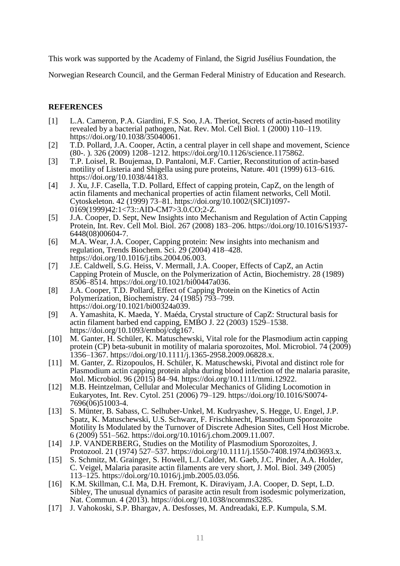This work was supported by the Academy of Finland, the Sigrid Jusélius Foundation, the

Norwegian Research Council, and the German Federal Ministry of Education and Research.

# **REFERENCES**

- [1] L.A. Cameron, P.A. Giardini, F.S. Soo, J.A. Theriot, Secrets of actin-based motility revealed by a bacterial pathogen, Nat. Rev. Mol. Cell Biol. 1 (2000) 110–119. https://doi.org/10.1038/35040061.
- [2] T.D. Pollard, J.A. Cooper, Actin, a central player in cell shape and movement, Science (80-. ). 326 (2009) 1208–1212. https://doi.org/10.1126/science.1175862.
- [3] T.P. Loisel, R. Boujemaa, D. Pantaloni, M.F. Cartier, Reconstitution of actin-based motility of Listeria and Shigella using pure proteins, Nature. 401 (1999) 613–616. https://doi.org/10.1038/44183.
- [4] J. Xu, J.F. Casella, T.D. Pollard, Effect of capping protein, CapZ, on the length of actin filaments and mechanical properties of actin filament networks, Cell Motil. Cytoskeleton. 42 (1999) 73–81. https://doi.org/10.1002/(SICI)1097- 0169(1999)42:1<73::AID-CM7>3.0.CO;2-Z.
- [5] J.A. Cooper, D. Sept, New Insights into Mechanism and Regulation of Actin Capping Protein, Int. Rev. Cell Mol. Biol. 267 (2008) 183–206. https://doi.org/10.1016/S1937- 6448(08)00604-7.
- [6] M.A. Wear, J.A. Cooper, Capping protein: New insights into mechanism and regulation, Trends Biochem. Sci. 29 (2004) 418–428. https://doi.org/10.1016/j.tibs.2004.06.003.
- [7] J.E. Caldwell, S.G. Heiss, V. Mermall, J.A. Cooper, Effects of CapZ, an Actin Capping Protein of Muscle, on the Polymerization of Actin, Biochemistry. 28 (1989) 8506–8514. https://doi.org/10.1021/bi00447a036.
- [8] J.A. Cooper, T.D. Pollard, Effect of Capping Protein on the Kinetics of Actin Polymerization, Biochemistry. 24 (1985) 793–799. https://doi.org/10.1021/bi00324a039.
- [9] A. Yamashita, K. Maeda, Y. Maéda, Crystal structure of CapZ: Structural basis for actin filament barbed end capping, EMBO J. 22 (2003) 1529–1538. https://doi.org/10.1093/emboj/cdg167.
- [10] M. Ganter, H. Schüler, K. Matuschewski, Vital role for the Plasmodium actin capping protein (CP) beta-subunit in motility of malaria sporozoites, Mol. Microbiol. 74 (2009) 1356–1367. https://doi.org/10.1111/j.1365-2958.2009.06828.x.
- [11] M. Ganter, Z. Rizopoulos, H. Schüler, K. Matuschewski, Pivotal and distinct role for Plasmodium actin capping protein alpha during blood infection of the malaria parasite, Mol. Microbiol. 96 (2015) 84–94. https://doi.org/10.1111/mmi.12922.
- [12] M.B. Heintzelman, Cellular and Molecular Mechanics of Gliding Locomotion in Eukaryotes, Int. Rev. Cytol. 251 (2006) 79–129. https://doi.org/10.1016/S0074- 7696(06)51003-4.
- [13] S. Münter, B. Sabass, C. Selhuber-Unkel, M. Kudryashev, S. Hegge, U. Engel, J.P. Spatz, K. Matuschewski, U.S. Schwarz, F. Frischknecht, Plasmodium Sporozoite Motility Is Modulated by the Turnover of Discrete Adhesion Sites, Cell Host Microbe. 6 (2009) 551–562. https://doi.org/10.1016/j.chom.2009.11.007.
- [14] J.P. VANDERBERG, Studies on the Motility of Plasmodium Sporozoites, J. Protozool. 21 (1974) 527–537. https://doi.org/10.1111/j.1550-7408.1974.tb03693.x.
- [15] S. Schmitz, M. Grainger, S. Howell, L.J. Calder, M. Gaeb, J.C. Pinder, A.A. Holder, C. Veigel, Malaria parasite actin filaments are very short, J. Mol. Biol. 349 (2005) 113–125. https://doi.org/10.1016/j.jmb.2005.03.056.
- [16] K.M. Skillman, C.I. Ma, D.H. Fremont, K. Diraviyam, J.A. Cooper, D. Sept, L.D. Sibley, The unusual dynamics of parasite actin result from isodesmic polymerization, Nat. Commun. 4 (2013). https://doi.org/10.1038/ncomms3285.
- [17] J. Vahokoski, S.P. Bhargav, A. Desfosses, M. Andreadaki, E.P. Kumpula, S.M.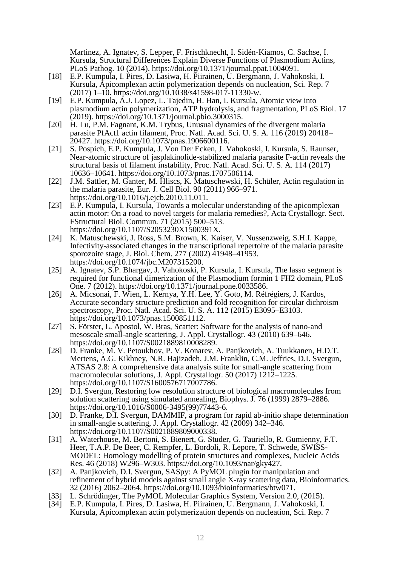Martinez, A. Ignatev, S. Lepper, F. Frischknecht, I. Sidén-Kiamos, C. Sachse, I. Kursula, Structural Differences Explain Diverse Functions of Plasmodium Actins, PLoS Pathog. 10 (2014). https://doi.org/10.1371/journal.ppat.1004091.

- [18] E.P. Kumpula, I. Pires, D. Lasiwa, H. Piirainen, U. Bergmann, J. Vahokoski, I. Kursula, Apicomplexan actin polymerization depends on nucleation, Sci. Rep. 7  $(2017)$  1–10. https://doi.org/10.1038/s41598-017-11330-w.
- [19] E.P. Kumpula, A.J. Lopez, L. Tajedin, H. Han, I. Kursula, Atomic view into plasmodium actin polymerization, ATP hydrolysis, and fragmentation, PLoS Biol. 17 (2019). https://doi.org/10.1371/journal.pbio.3000315.
- [20] H. Lu, P.M. Fagnant, K.M. Trybus, Unusual dynamics of the divergent malaria parasite PfAct1 actin filament, Proc. Natl. Acad. Sci. U. S. A. 116 (2019) 20418– 20427. https://doi.org/10.1073/pnas.1906600116.
- [21] S. Pospich, E.P. Kumpula, J. Von Der Ecken, J. Vahokoski, I. Kursula, S. Raunser, Near-atomic structure of jasplakinolide-stabilized malaria parasite F-actin reveals the structural basis of filament instability, Proc. Natl. Acad. Sci. U. S. A. 114 (2017) 10636–10641. https://doi.org/10.1073/pnas.1707506114.
- [22] J.M. Sattler, M. Ganter, M. Hliscs, K. Matuschewski, H. Schüler, Actin regulation in the malaria parasite, Eur. J. Cell Biol. 90 (2011) 966–971. https://doi.org/10.1016/j.ejcb.2010.11.011.
- [23] E.P. Kumpula, I. Kursula, Towards a molecular understanding of the apicomplexan actin motor: On a road to novel targets for malaria remedies?, Acta Crystallogr. Sect. FStructural Biol. Commun. 71 (2015) 500–513. https://doi.org/10.1107/S2053230X1500391X.
- [24] K. Matuschewski, J. Ross, S.M. Brown, K. Kaiser, V. Nussenzweig, S.H.I. Kappe, Infectivity-associated changes in the transcriptional repertoire of the malaria parasite sporozoite stage, J. Biol. Chem. 277 (2002) 41948–41953. https://doi.org/10.1074/jbc.M207315200.
- [25] A. Ignatev, S.P. Bhargav, J. Vahokoski, P. Kursula, I. Kursula, The lasso segment is required for functional dimerization of the Plasmodium formin 1 FH2 domain, PLoS One. 7 (2012). https://doi.org/10.1371/journal.pone.0033586.
- [26] A. Micsonai, F. Wien, L. Kernya, Y.H. Lee, Y. Goto, M. Réfrégiers, J. Kardos, Accurate secondary structure prediction and fold recognition for circular dichroism spectroscopy, Proc. Natl. Acad. Sci. U. S. A. 112 (2015) E3095–E3103. https://doi.org/10.1073/pnas.1500851112.
- [27] S. Förster, L. Apostol, W. Bras, Scatter: Software for the analysis of nano-and mesoscale small-angle scattering, J. Appl. Crystallogr. 43 (2010) 639–646. https://doi.org/10.1107/S0021889810008289.
- [28] D. Franke, M. V. Petoukhov, P. V. Konarev, A. Panjkovich, A. Tuukkanen, H.D.T. Mertens, A.G. Kikhney, N.R. Hajizadeh, J.M. Franklin, C.M. Jeffries, D.I. Svergun, ATSAS 2.8: A comprehensive data analysis suite for small-angle scattering from macromolecular solutions, J. Appl. Crystallogr. 50 (2017) 1212–1225. https://doi.org/10.1107/S1600576717007786.
- [29] D.I. Svergun, Restoring low resolution structure of biological macromolecules from solution scattering using simulated annealing, Biophys. J. 76 (1999) 2879–2886. https://doi.org/10.1016/S0006-3495(99)77443-6.
- [30] D. Franke, D.I. Svergun, DAMMIF, a program for rapid ab-initio shape determination in small-angle scattering, J. Appl. Crystallogr. 42 (2009) 342–346. https://doi.org/10.1107/S0021889809000338.
- [31] A. Waterhouse, M. Bertoni, S. Bienert, G. Studer, G. Tauriello, R. Gumienny, F.T. Heer, T.A.P. De Beer, C. Rempfer, L. Bordoli, R. Lepore, T. Schwede, SWISS-MODEL: Homology modelling of protein structures and complexes, Nucleic Acids Res. 46 (2018) W296–W303. https://doi.org/10.1093/nar/gky427.
- [32] A. Panjkovich, D.I. Svergun, SASpy: A PyMOL plugin for manipulation and refinement of hybrid models against small angle X-ray scattering data, Bioinformatics. 32 (2016) 2062–2064. https://doi.org/10.1093/bioinformatics/btw071.
- [33] L. Schrödinger, The PyMOL Molecular Graphics System, Version 2.0, (2015).
- [34] E.P. Kumpula, I. Pires, D. Lasiwa, H. Piirainen, U. Bergmann, J. Vahokoski, I. Kursula, Apicomplexan actin polymerization depends on nucleation, Sci. Rep. 7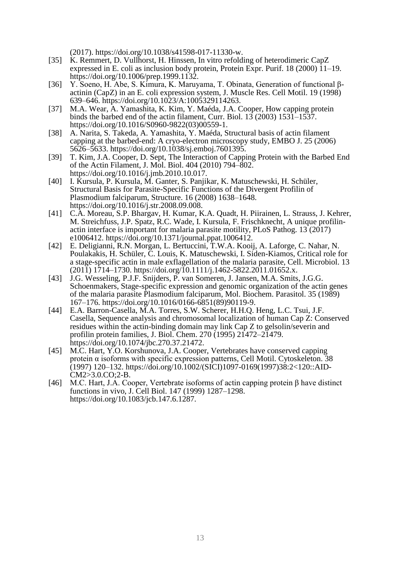(2017). https://doi.org/10.1038/s41598-017-11330-w.

- [35] K. Remmert, D. Vullhorst, H. Hinssen, In vitro refolding of heterodimeric CapZ expressed in E. coli as inclusion body protein, Protein Expr. Purif. 18 (2000) 11–19. https://doi.org/10.1006/prep.1999.1132.
- [36] Y. Soeno, H. Abe, S. Kimura, K. Maruyama, T. Obinata, Generation of functional βactinin (CapZ) in an E. coli expression system, J. Muscle Res. Cell Motil. 19 (1998) 639–646. https://doi.org/10.1023/A:1005329114263.
- [37] M.A. Wear, A. Yamashita, K. Kim, Y. Maéda, J.A. Cooper, How capping protein binds the barbed end of the actin filament, Curr. Biol. 13 (2003) 1531–1537. https://doi.org/10.1016/S0960-9822(03)00559-1.
- [38] A. Narita, S. Takeda, A. Yamashita, Y. Maéda, Structural basis of actin filament capping at the barbed-end: A cryo-electron microscopy study, EMBO J. 25 (2006) 5626–5633. https://doi.org/10.1038/sj.emboj.7601395.
- [39] T. Kim, J.A. Cooper, D. Sept, The Interaction of Capping Protein with the Barbed End of the Actin Filament, J. Mol. Biol. 404 (2010) 794–802. https://doi.org/10.1016/j.jmb.2010.10.017.
- [40] I. Kursula, P. Kursula, M. Ganter, S. Panjikar, K. Matuschewski, H. Schüler, Structural Basis for Parasite-Specific Functions of the Divergent Profilin of Plasmodium falciparum, Structure. 16 (2008) 1638–1648. https://doi.org/10.1016/j.str.2008.09.008.
- [41] C.A. Moreau, S.P. Bhargav, H. Kumar, K.A. Quadt, H. Piirainen, L. Strauss, J. Kehrer, M. Streichfuss, J.P. Spatz, R.C. Wade, I. Kursula, F. Frischknecht, A unique profilinactin interface is important for malaria parasite motility, PLoS Pathog. 13 (2017) e1006412. https://doi.org/10.1371/journal.ppat.1006412.
- [42] E. Deligianni, R.N. Morgan, L. Bertuccini, T.W.A. Kooij, A. Laforge, C. Nahar, N. Poulakakis, H. Schüler, C. Louis, K. Matuschewski, I. Siden-Kiamos, Critical role for a stage-specific actin in male exflagellation of the malaria parasite, Cell. Microbiol. 13  $(2011)$  1714–1730. https://doi.org/10.1111/j.1462-5822.2011.01652.x.
- [43] J.G. Wesseling, P.J.F. Snijders, P. van Someren, J. Jansen, M.A. Smits, J.G.G. Schoenmakers, Stage-specific expression and genomic organization of the actin genes of the malaria parasite Plasmodium falciparum, Mol. Biochem. Parasitol. 35 (1989) 167–176. https://doi.org/10.1016/0166-6851(89)90119-9.
- [44] E.A. Barron-Casella, M.A. Torres, S.W. Scherer, H.H.Q. Heng, L.C. Tsui, J.F. Casella, Sequence analysis and chromosomal localization of human Cap Z: Conserved residues within the actin-binding domain may link Cap Z to gelsolin/severin and profilin protein families, J. Biol. Chem. 270 (1995) 21472–21479. https://doi.org/10.1074/jbc.270.37.21472.
- [45] M.C. Hart, Y.O. Korshunova, J.A. Cooper, Vertebrates have conserved capping protein α isoforms with specific expression patterns, Cell Motil. Cytoskeleton. 38 (1997) 120–132. https://doi.org/10.1002/(SICI)1097-0169(1997)38:2<120::AID-CM2>3.0.CO;2-B.
- [46] M.C. Hart, J.A. Cooper, Vertebrate isoforms of actin capping protein β have distinct functions in vivo, J. Cell Biol. 147 (1999) 1287–1298. https://doi.org/10.1083/jcb.147.6.1287.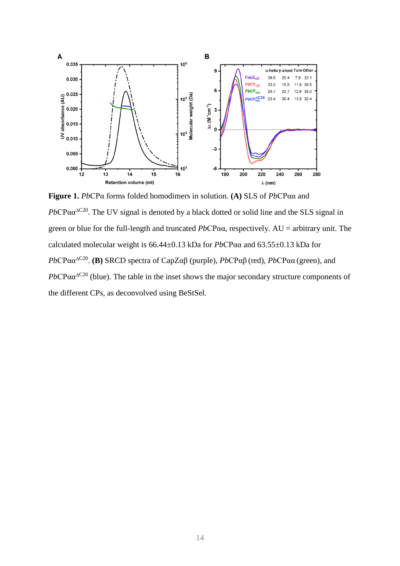

**Figure 1.** *Pb*CPα forms folded homodimers in solution. **(A)** SLS of *Pb*CPαα and  $PbCP\alpha\alpha^{\Delta C20}$ . The UV signal is denoted by a black dotted or solid line and the SLS signal in green or blue for the full-length and truncated  $PbCP\alpha\alpha$ , respectively.  $AU =$  arbitrary unit. The calculated molecular weight is 66.44±0.13 kDa for *Pb*CPαα and 63.55±0.13 kDa for *Pb*CPαα<sup>ΔC20</sup>. (**B**) SRCD spectra of CapZαβ (purple), *Pb*CPαβ (red), *Pb*CPαα (green), and  $PbCP\alpha\alpha^{\Delta C20}$  (blue). The table in the inset shows the major secondary structure components of the different CPs, as deconvolved using BeStSel.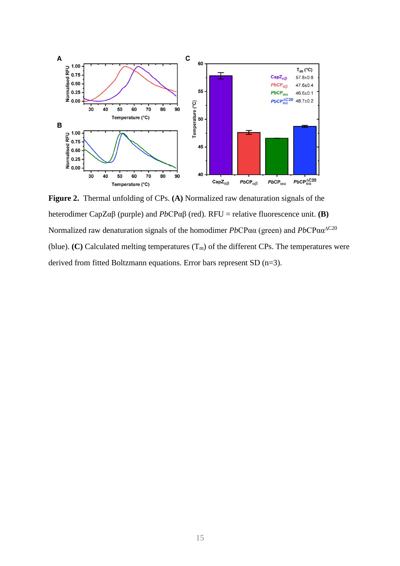

**Figure 2.** Thermal unfolding of CPs. **(A)** Normalized raw denaturation signals of the heterodimer CapZαβ (purple) and *Pb*CPαβ (red). RFU = relative fluorescence unit. **(B)**  Normalized raw denaturation signals of the homodimer  $PbCP\alpha\alpha$  (green) and  $PbCP\alpha\alpha^{\Delta C20}$ (blue). **(C)** Calculated melting temperatures  $(T_m)$  of the different CPs. The temperatures were derived from fitted Boltzmann equations. Error bars represent SD (n=3).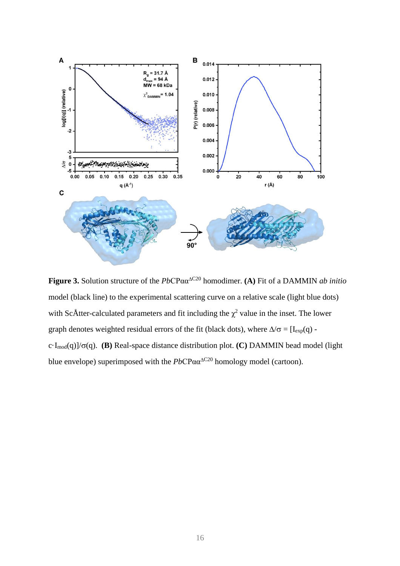

**Figure 3.** Solution structure of the  $PbCP\alpha\alpha^{\Delta C20}$  homodimer. (A) Fit of a DAMMIN *ab initio* model (black line) to the experimental scattering curve on a relative scale (light blue dots) with ScÅtter-calculated parameters and fit including the  $\chi^2$  value in the inset. The lower graph denotes weighted residual errors of the fit (black dots), where  $\Delta/\sigma = [I_{exp}(q) - I_{exp}(q)]$ c·I<sub>mod</sub>(q)]/ $\sigma$ (q). **(B)** Real-space distance distribution plot. **(C)** DAMMIN bead model (light blue envelope) superimposed with the  $PbCPa\alpha^{\Delta C20}$  homology model (cartoon).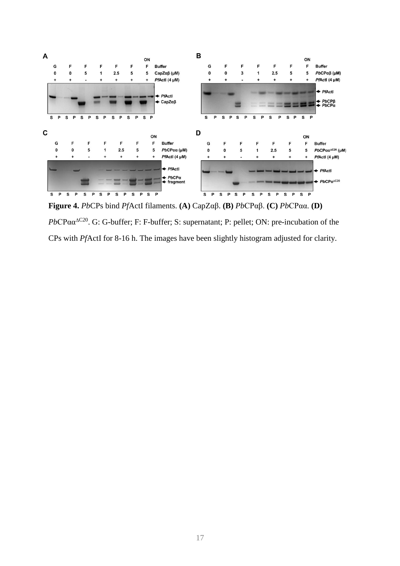

**Figure 4.** *Pb*CPs bind *Pf*ActI filaments. **(A)** CapZαβ. **(B)** *Pb*CPαβ. **(C)** *Pb*CPαα. **(D)** *Pb*CPαα<sup> $\Delta$ C20</sup>. G: G-buffer; F: F-buffer; S: supernatant; P: pellet; ON: pre-incubation of the CPs with *Pf*ActI for 8-16 h. The images have been slightly histogram adjusted for clarity.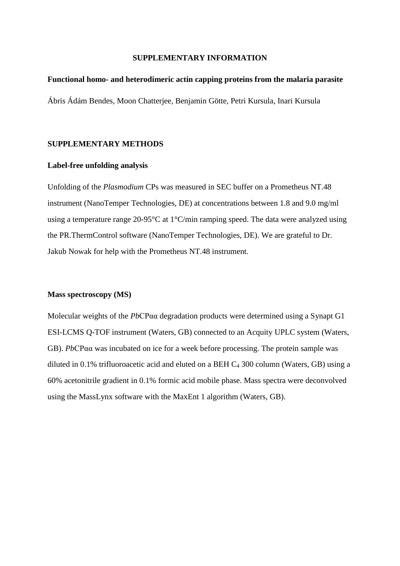# **SUPPLEMENTARY INFORMATION**

# **Functional homo- and heterodimeric actin capping proteins from the malaria parasite**

Ábris Ádám Bendes, Moon Chatterjee, Benjamin Götte, Petri Kursula, Inari Kursula

## **SUPPLEMENTARY METHODS**

#### **Label-free unfolding analysis**

Unfolding of the *Plasmodium* CPs was measured in SEC buffer on a Prometheus NT.48 instrument (NanoTemper Technologies, DE) at concentrations between 1.8 and 9.0 mg/ml using a temperature range 20-95°C at 1°C/min ramping speed. The data were analyzed using the PR.ThermControl software (NanoTemper Technologies, DE). We are grateful to Dr. Jakub Nowak for help with the Prometheus NT.48 instrument.

### **Mass spectroscopy (MS)**

Molecular weights of the *Pb*CPαα degradation products were determined using a Synapt G1 ESI-LCMS Q-TOF instrument (Waters, GB) connected to an Acquity UPLC system (Waters, GB). *Pb*CPαα was incubated on ice for a week before processing. The protein sample was diluted in 0.1% trifluoroacetic acid and eluted on a BEH  $C_4$  300 column (Waters, GB) using a 60% acetonitrile gradient in 0.1% formic acid mobile phase. Mass spectra were deconvolved using the MassLynx software with the MaxEnt 1 algorithm (Waters, GB).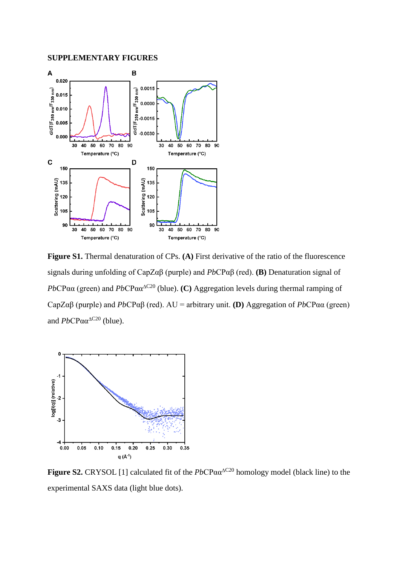## **SUPPLEMENTARY FIGURES**



**Figure S1.** Thermal denaturation of CPs. **(A)** First derivative of the ratio of the fluorescence signals during unfolding of CapZαβ (purple) and *Pb*CPαβ (red). **(B)** Denaturation signal of  $PbCP\alpha\alpha$  (green) and  $PbCP\alpha\alpha^{\Delta C20}$  (blue). **(C)** Aggregation levels during thermal ramping of CapZαβ (purple) and *Pb*CPαβ (red). AU = arbitrary unit. **(D)** Aggregation of *Pb*CPαα (green) and  $PbCPa\alpha^{\Delta C20}$  (blue).



**Figure S2.** CRYSOL [1] calculated fit of the  $PbCP\alpha\alpha^{\Delta C20}$  homology model (black line) to the experimental SAXS data (light blue dots).